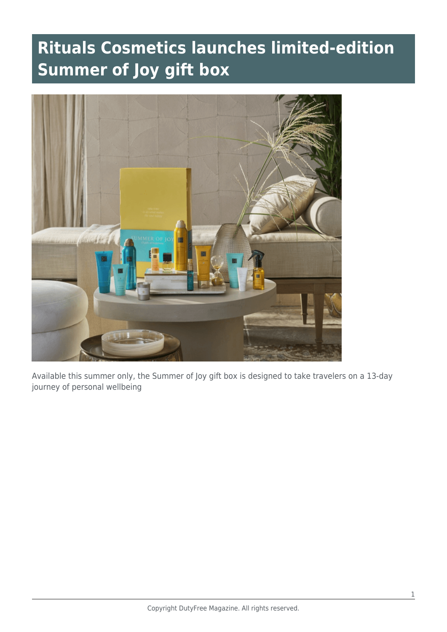## **Rituals Cosmetics launches limited-edition Summer of Joy gift box**



Available this summer only, the Summer of Joy gift box is designed to take travelers on a 13-day journey of personal wellbeing